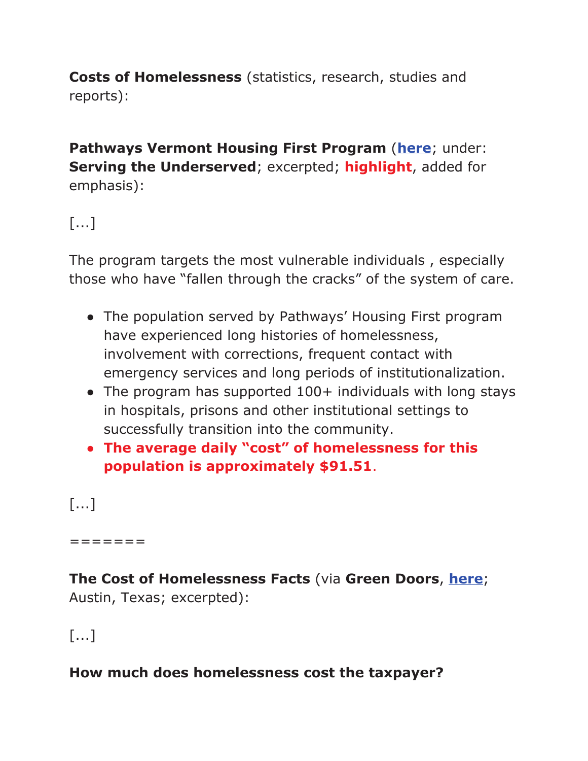**Costs of Homelessness** (statistics, research, studies and reports):

Pathways Vermont Housing First Program (here; under: Serving the Underserved; excerpted; highlight, added for emphasis):

# $\left[\ldots\right]$

The program targets the most vulnerable individuals, especially those who have "fallen through the cracks" of the system of care.

- The population served by Pathways' Housing First program have experienced long histories of homelessness, involvement with corrections, frequent contact with emergency services and long periods of institutionalization.
- The program has supported 100+ individuals with long stays in hospitals, prisons and other institutional settings to successfully transition into the community.
- The average daily "cost" of homelessness for this population is approximately \$91.51.

 $\left[\ldots\right]$ 

=======

The Cost of Homelessness Facts (via Green Doors, here; Austin, Texas; excerpted):

 $\left[\ldots\right]$ 

#### How much does homelessness cost the taxpayer?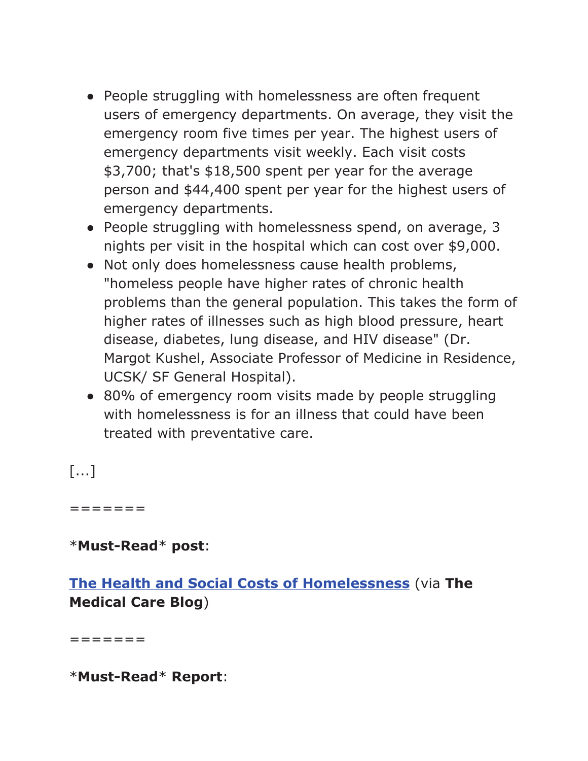- People struggling with homelessness are often frequent users of emergency departments. On average, they visit the emergency room five times per year. The highest users of emergency departments visit weekly. Each visit costs \$3,700; that's \$18,500 spent per year for the average person and \$44,400 spent per year for the highest users of emergency departments.
- People struggling with homelessness spend, on average, 3 nights per visit in the hospital which can cost over \$9,000.
- Not only does homelessness cause health problems, "homeless people have higher rates of chronic health problems than the general population. This takes the form of higher rates of illnesses such as high blood pressure, heart disease, diabetes, lung disease, and HIV disease" (Dr. Margot Kushel, Associate Professor of Medicine in Residence, UCSK/ SF General Hospital).
- 80% of emergency room visits made by people struggling with homelessness is for an illness that could have been treated with preventative care.

 $\left[\ldots\right]$ 

=======

\*Must-Read\* post:

## **The Health and Social Costs of Homelessness (via The Medical Care Blog)**

 $=$  = = = = = =

\*Must-Read\* Report: